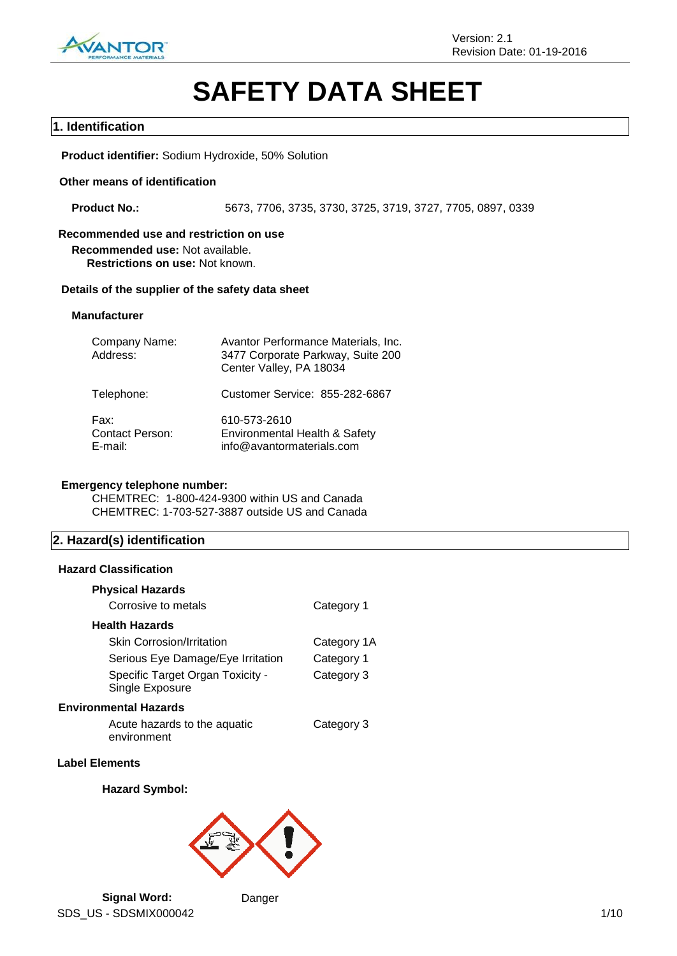

# **SAFETY DATA SHEET**

### **1. Identification**

**Product identifier:** Sodium Hydroxide, 50% Solution

### **Other means of identification**

**Product No.:** 5673, 7706, 3735, 3730, 3725, 3719, 3727, 7705, 0897, 0339

### **Recommended use and restriction on use**

**Recommended use:** Not available. **Restrictions on use:** Not known.

#### **Details of the supplier of the safety data sheet**

#### **Manufacturer**

| Company Name:<br>Address:                 | Avantor Performance Materials, Inc.<br>3477 Corporate Parkway, Suite 200<br>Center Valley, PA 18034 |
|-------------------------------------------|-----------------------------------------------------------------------------------------------------|
| Telephone:                                | Customer Service: 855-282-6867                                                                      |
| Fax:<br><b>Contact Person:</b><br>E-mail: | 610-573-2610<br>Environmental Health & Safety<br>info@avantormaterials.com                          |

### **Emergency telephone number:**

CHEMTREC: 1-800-424-9300 within US and Canada CHEMTREC: 1-703-527-3887 outside US and Canada

# **2. Hazard(s) identification**

### **Hazard Classification**

| <b>Physical Hazards</b>                             |             |
|-----------------------------------------------------|-------------|
| Corrosive to metals                                 | Category 1  |
| <b>Health Hazards</b>                               |             |
| <b>Skin Corrosion/Irritation</b>                    | Category 1A |
| Serious Eye Damage/Eye Irritation                   | Category 1  |
| Specific Target Organ Toxicity -<br>Single Exposure | Category 3  |
| <b>Environmental Hazards</b>                        |             |
| Acute hazards to the aquatic                        | Category 3  |

environment

# **Label Elements**

### **Hazard Symbol:**

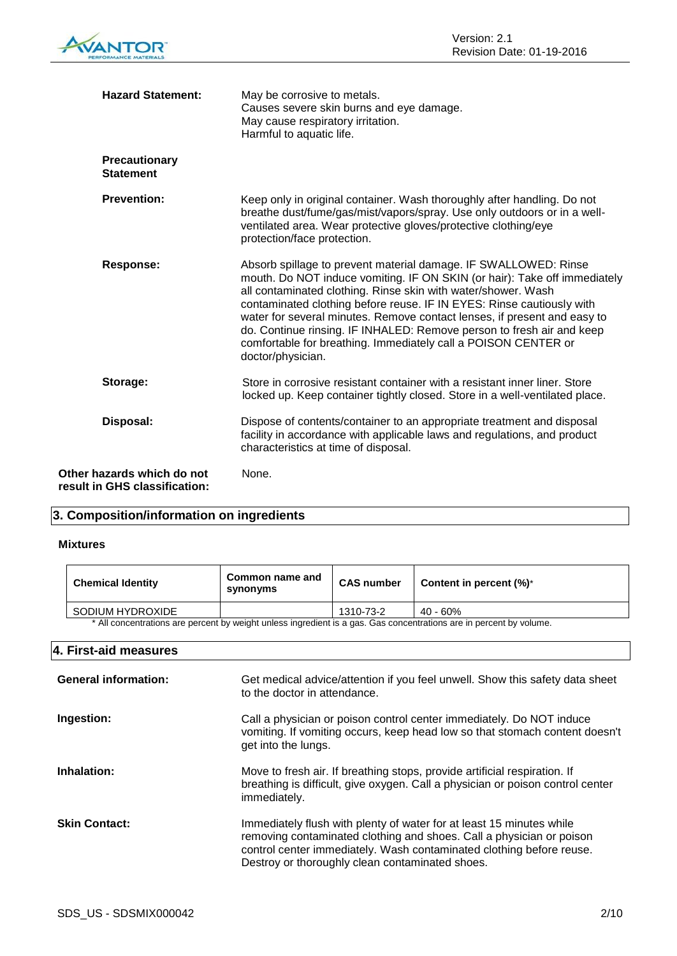| <b>Hazard Statement:</b>                                    | May be corrosive to metals.<br>Causes severe skin burns and eye damage.<br>May cause respiratory irritation.<br>Harmful to aquatic life.                                                                                                                                                                                                                                                                                                                                                                                           |
|-------------------------------------------------------------|------------------------------------------------------------------------------------------------------------------------------------------------------------------------------------------------------------------------------------------------------------------------------------------------------------------------------------------------------------------------------------------------------------------------------------------------------------------------------------------------------------------------------------|
| <b>Precautionary</b><br><b>Statement</b>                    |                                                                                                                                                                                                                                                                                                                                                                                                                                                                                                                                    |
| <b>Prevention:</b>                                          | Keep only in original container. Wash thoroughly after handling. Do not<br>breathe dust/fume/gas/mist/vapors/spray. Use only outdoors or in a well-<br>ventilated area. Wear protective gloves/protective clothing/eye<br>protection/face protection.                                                                                                                                                                                                                                                                              |
| <b>Response:</b>                                            | Absorb spillage to prevent material damage. IF SWALLOWED: Rinse<br>mouth. Do NOT induce vomiting. IF ON SKIN (or hair): Take off immediately<br>all contaminated clothing. Rinse skin with water/shower. Wash<br>contaminated clothing before reuse. IF IN EYES: Rinse cautiously with<br>water for several minutes. Remove contact lenses, if present and easy to<br>do. Continue rinsing. IF INHALED: Remove person to fresh air and keep<br>comfortable for breathing. Immediately call a POISON CENTER or<br>doctor/physician. |
| Storage:                                                    | Store in corrosive resistant container with a resistant inner liner. Store<br>locked up. Keep container tightly closed. Store in a well-ventilated place.                                                                                                                                                                                                                                                                                                                                                                          |
| Disposal:                                                   | Dispose of contents/container to an appropriate treatment and disposal<br>facility in accordance with applicable laws and regulations, and product<br>characteristics at time of disposal.                                                                                                                                                                                                                                                                                                                                         |
| Other hazards which do not<br>result in GHS classification: | None.                                                                                                                                                                                                                                                                                                                                                                                                                                                                                                                              |

# **3. Composition/information on ingredients**

### **Mixtures**

| <b>Chemical Identity</b>                                                                                            | Common name and<br>synonyms | <b>CAS number</b> | Content in percent $(\%)^*$ |
|---------------------------------------------------------------------------------------------------------------------|-----------------------------|-------------------|-----------------------------|
| SODIUM HYDROXIDE                                                                                                    |                             | 1310-73-2         | 40 - 60%                    |
| * All concentrations are percent by weight unless ingredient is a gas. Gas concentrations are in percent by volume. |                             |                   |                             |

\* All concentrations are percent by weight unless ingredient is a gas. Gas concentrations are in percent by volume.

### **4. First-aid measures**

| <b>General information:</b> | Get medical advice/attention if you feel unwell. Show this safety data sheet<br>to the doctor in attendance.                                                                                                                                                            |
|-----------------------------|-------------------------------------------------------------------------------------------------------------------------------------------------------------------------------------------------------------------------------------------------------------------------|
| Ingestion:                  | Call a physician or poison control center immediately. Do NOT induce<br>vomiting. If vomiting occurs, keep head low so that stomach content doesn't<br>get into the lungs.                                                                                              |
| Inhalation:                 | Move to fresh air. If breathing stops, provide artificial respiration. If<br>breathing is difficult, give oxygen. Call a physician or poison control center<br>immediately.                                                                                             |
| <b>Skin Contact:</b>        | Immediately flush with plenty of water for at least 15 minutes while<br>removing contaminated clothing and shoes. Call a physician or poison<br>control center immediately. Wash contaminated clothing before reuse.<br>Destroy or thoroughly clean contaminated shoes. |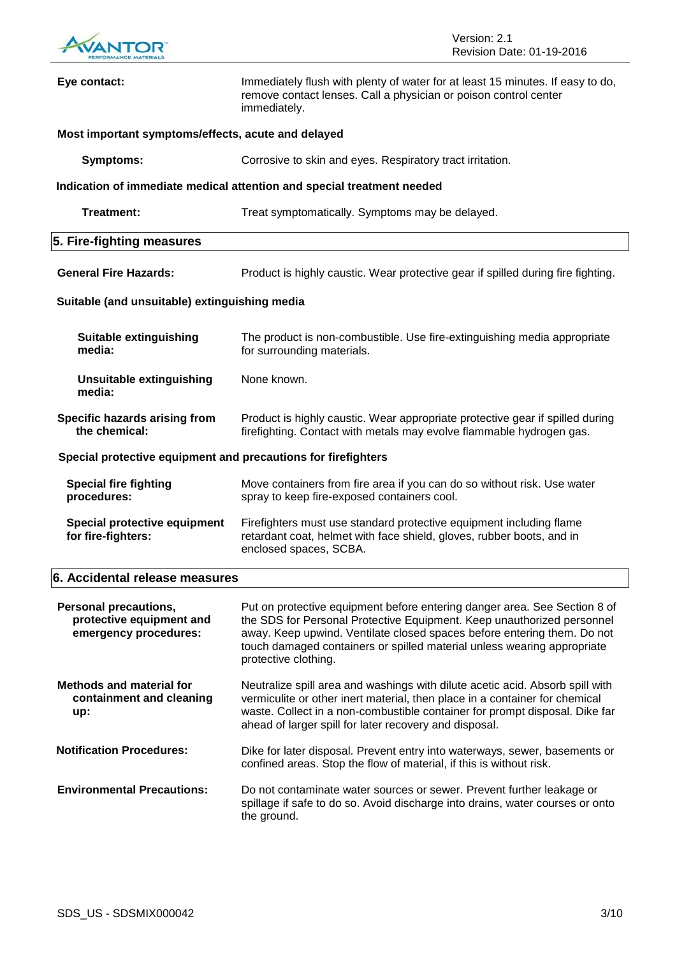

| Eye contact:                                                                      | Immediately flush with plenty of water for at least 15 minutes. If easy to do,<br>remove contact lenses. Call a physician or poison control center<br>immediately.                                                                                                                                                                |
|-----------------------------------------------------------------------------------|-----------------------------------------------------------------------------------------------------------------------------------------------------------------------------------------------------------------------------------------------------------------------------------------------------------------------------------|
| Most important symptoms/effects, acute and delayed                                |                                                                                                                                                                                                                                                                                                                                   |
| <b>Symptoms:</b>                                                                  | Corrosive to skin and eyes. Respiratory tract irritation.                                                                                                                                                                                                                                                                         |
|                                                                                   | Indication of immediate medical attention and special treatment needed                                                                                                                                                                                                                                                            |
| Treatment:                                                                        | Treat symptomatically. Symptoms may be delayed.                                                                                                                                                                                                                                                                                   |
| 5. Fire-fighting measures                                                         |                                                                                                                                                                                                                                                                                                                                   |
| <b>General Fire Hazards:</b>                                                      | Product is highly caustic. Wear protective gear if spilled during fire fighting.                                                                                                                                                                                                                                                  |
| Suitable (and unsuitable) extinguishing media                                     |                                                                                                                                                                                                                                                                                                                                   |
| <b>Suitable extinguishing</b><br>media:                                           | The product is non-combustible. Use fire-extinguishing media appropriate<br>for surrounding materials.                                                                                                                                                                                                                            |
| <b>Unsuitable extinguishing</b><br>media:                                         | None known.                                                                                                                                                                                                                                                                                                                       |
| Specific hazards arising from<br>the chemical:                                    | Product is highly caustic. Wear appropriate protective gear if spilled during<br>firefighting. Contact with metals may evolve flammable hydrogen gas.                                                                                                                                                                             |
| Special protective equipment and precautions for firefighters                     |                                                                                                                                                                                                                                                                                                                                   |
| <b>Special fire fighting</b><br>procedures:                                       | Move containers from fire area if you can do so without risk. Use water<br>spray to keep fire-exposed containers cool.                                                                                                                                                                                                            |
| Special protective equipment<br>for fire-fighters:                                | Firefighters must use standard protective equipment including flame<br>retardant coat, helmet with face shield, gloves, rubber boots, and in<br>enclosed spaces, SCBA.                                                                                                                                                            |
| 6. Accidental release measures                                                    |                                                                                                                                                                                                                                                                                                                                   |
| <b>Personal precautions,</b><br>protective equipment and<br>emergency procedures: | Put on protective equipment before entering danger area. See Section 8 of<br>the SDS for Personal Protective Equipment. Keep unauthorized personnel<br>away. Keep upwind. Ventilate closed spaces before entering them. Do not<br>touch damaged containers or spilled material unless wearing appropriate<br>protective clothing. |
| <b>Methods and material for</b><br>containment and cleaning<br>up:                | Neutralize spill area and washings with dilute acetic acid. Absorb spill with<br>vermiculite or other inert material, then place in a container for chemical<br>waste. Collect in a non-combustible container for prompt disposal. Dike far<br>ahead of larger spill for later recovery and disposal.                             |
| <b>Notification Procedures:</b>                                                   | Dike for later disposal. Prevent entry into waterways, sewer, basements or<br>confined areas. Stop the flow of material, if this is without risk.                                                                                                                                                                                 |
| <b>Environmental Precautions:</b>                                                 | Do not contaminate water sources or sewer. Prevent further leakage or<br>spillage if safe to do so. Avoid discharge into drains, water courses or onto<br>the ground.                                                                                                                                                             |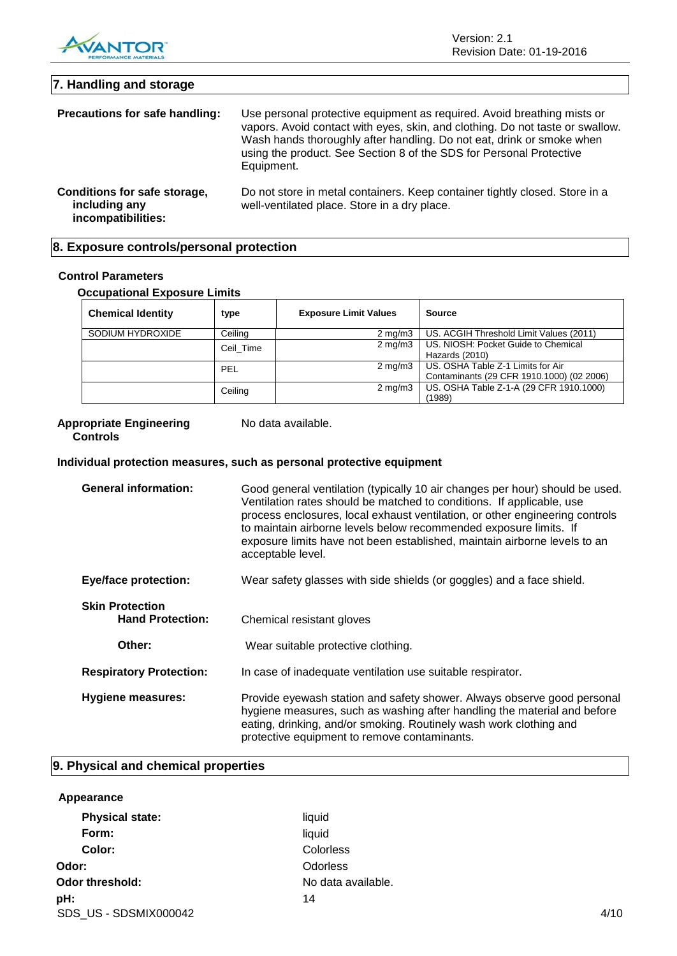

Version: 2.1 Revision Date: 01-19-2016

| 7. Handling and storage                                             |                                                                                                                                                                                                                                                                                                                        |
|---------------------------------------------------------------------|------------------------------------------------------------------------------------------------------------------------------------------------------------------------------------------------------------------------------------------------------------------------------------------------------------------------|
| Precautions for safe handling:                                      | Use personal protective equipment as required. Avoid breathing mists or<br>vapors. Avoid contact with eyes, skin, and clothing. Do not taste or swallow.<br>Wash hands thoroughly after handling. Do not eat, drink or smoke when<br>using the product. See Section 8 of the SDS for Personal Protective<br>Equipment. |
| Conditions for safe storage,<br>including any<br>incompatibilities: | Do not store in metal containers. Keep container tightly closed. Store in a<br>well-ventilated place. Store in a dry place.                                                                                                                                                                                            |

### **8. Exposure controls/personal protection**

### **Control Parameters**

**Occupational Exposure Limits**

| <b>Chemical Identity</b> | type      | <b>Exposure Limit Values</b> | <b>Source</b>                                                                  |
|--------------------------|-----------|------------------------------|--------------------------------------------------------------------------------|
| SODIUM HYDROXIDE         | Ceiling   | $2 \text{ mg/m}$             | US. ACGIH Threshold Limit Values (2011)                                        |
|                          | Ceil Time | $2 \text{ mg/m}$             | US. NIOSH: Pocket Guide to Chemical<br>Hazards (2010)                          |
|                          | PEL       | $2 \text{ mg/m}$             | US. OSHA Table Z-1 Limits for Air<br>Contaminants (29 CFR 1910.1000) (02 2006) |
|                          | Ceiling   | $2 \text{ mg/m}$             | US. OSHA Table Z-1-A (29 CFR 1910.1000)<br>(1989)                              |

#### **Appropriate Engineering Controls**

No data available.

### **Individual protection measures, such as personal protective equipment**

| <b>General information:</b>                       | Good general ventilation (typically 10 air changes per hour) should be used.<br>Ventilation rates should be matched to conditions. If applicable, use<br>process enclosures, local exhaust ventilation, or other engineering controls<br>to maintain airborne levels below recommended exposure limits. If<br>exposure limits have not been established, maintain airborne levels to an<br>acceptable level. |
|---------------------------------------------------|--------------------------------------------------------------------------------------------------------------------------------------------------------------------------------------------------------------------------------------------------------------------------------------------------------------------------------------------------------------------------------------------------------------|
| <b>Eye/face protection:</b>                       | Wear safety glasses with side shields (or goggles) and a face shield.                                                                                                                                                                                                                                                                                                                                        |
| <b>Skin Protection</b><br><b>Hand Protection:</b> | Chemical resistant gloves                                                                                                                                                                                                                                                                                                                                                                                    |
| Other:                                            | Wear suitable protective clothing.                                                                                                                                                                                                                                                                                                                                                                           |
| <b>Respiratory Protection:</b>                    | In case of inadequate ventilation use suitable respirator.                                                                                                                                                                                                                                                                                                                                                   |
| <b>Hygiene measures:</b>                          | Provide eyewash station and safety shower. Always observe good personal<br>hygiene measures, such as washing after handling the material and before<br>eating, drinking, and/or smoking. Routinely wash work clothing and<br>protective equipment to remove contaminants.                                                                                                                                    |

# **9. Physical and chemical properties**

| Appearance             |                    |      |
|------------------------|--------------------|------|
| <b>Physical state:</b> | liquid             |      |
| Form:                  | liquid             |      |
| Color:                 | Colorless          |      |
| Odor:                  | <b>Odorless</b>    |      |
| Odor threshold:        | No data available. |      |
| pH:                    | 14                 |      |
| SDS US - SDSMIX000042  |                    | 4/10 |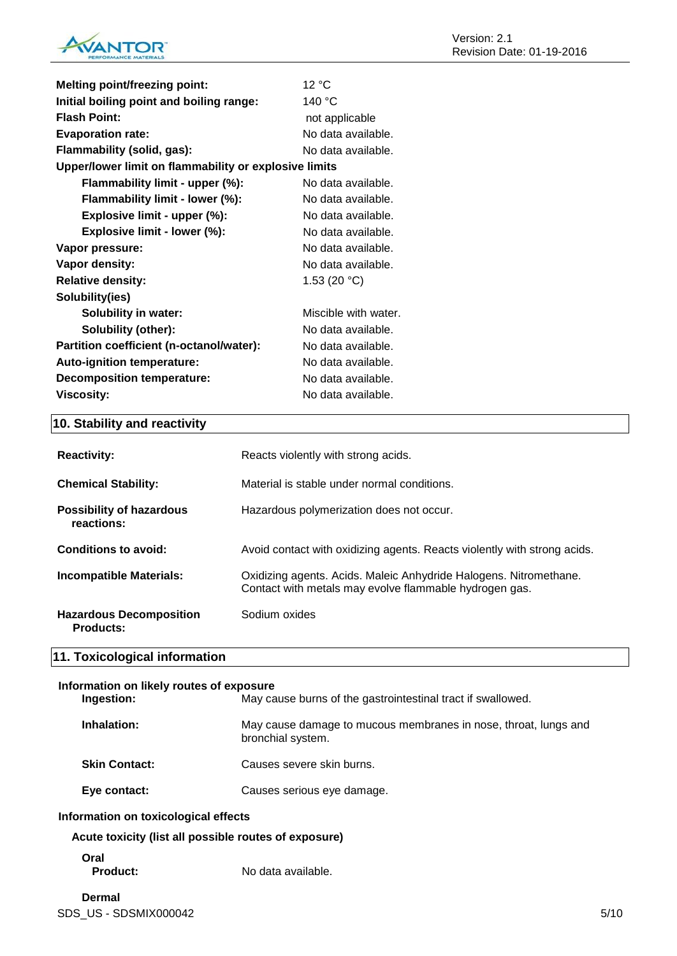

| <b>Melting point/freezing point:</b>                  | 12 °C                |
|-------------------------------------------------------|----------------------|
| Initial boiling point and boiling range:              | 140 °C               |
| <b>Flash Point:</b>                                   | not applicable       |
| <b>Evaporation rate:</b>                              | No data available.   |
| Flammability (solid, gas):                            | No data available.   |
| Upper/lower limit on flammability or explosive limits |                      |
| Flammability limit - upper (%):                       | No data available.   |
| Flammability limit - lower (%):                       | No data available.   |
| Explosive limit - upper (%):                          | No data available.   |
| Explosive limit - lower (%):                          | No data available.   |
| Vapor pressure:                                       | No data available.   |
| Vapor density:                                        | No data available.   |
| <b>Relative density:</b>                              | 1.53 $(20 °C)$       |
| Solubility(ies)                                       |                      |
| <b>Solubility in water:</b>                           | Miscible with water. |
| Solubility (other):                                   | No data available.   |
| Partition coefficient (n-octanol/water):              | No data available.   |
| Auto-ignition temperature:                            | No data available.   |
| <b>Decomposition temperature:</b>                     | No data available.   |
| <b>Viscosity:</b>                                     | No data available.   |

# **10. Stability and reactivity**

| <b>Reactivity:</b>                          | Reacts violently with strong acids.                                                                                         |
|---------------------------------------------|-----------------------------------------------------------------------------------------------------------------------------|
| <b>Chemical Stability:</b>                  | Material is stable under normal conditions.                                                                                 |
| Possibility of hazardous<br>reactions:      | Hazardous polymerization does not occur.                                                                                    |
| Conditions to avoid:                        | Avoid contact with oxidizing agents. Reacts violently with strong acids.                                                    |
| <b>Incompatible Materials:</b>              | Oxidizing agents. Acids. Maleic Anhydride Halogens. Nitromethane.<br>Contact with metals may evolve flammable hydrogen gas. |
| <b>Hazardous Decomposition</b><br>Products: | Sodium oxides                                                                                                               |

# **11. Toxicological information**

| Information on likely routes of exposure              |                                                                                      |  |
|-------------------------------------------------------|--------------------------------------------------------------------------------------|--|
| Ingestion:                                            | May cause burns of the gastrointestinal tract if swallowed.                          |  |
| Inhalation:                                           | May cause damage to mucous membranes in nose, throat, lungs and<br>bronchial system. |  |
| <b>Skin Contact:</b>                                  | Causes severe skin burns.                                                            |  |
| Eye contact:                                          | Causes serious eye damage.                                                           |  |
| Information on toxicological effects                  |                                                                                      |  |
| Acute toxicity (list all possible routes of exposure) |                                                                                      |  |
| Oral                                                  |                                                                                      |  |

Product: No data available.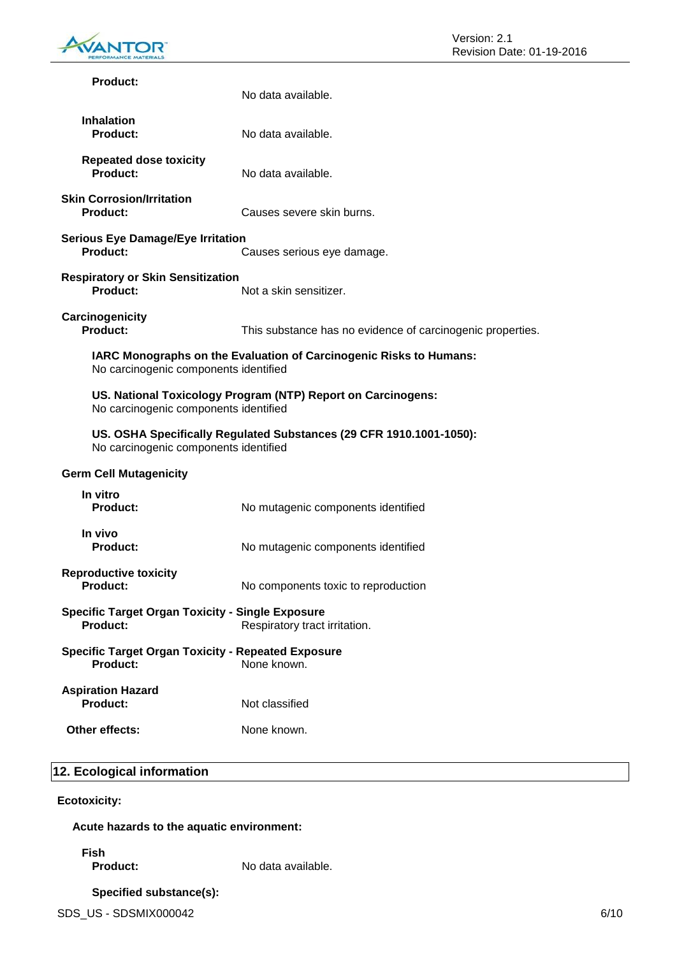

| <b>Product:</b>                                                              | No data available.                                                  |
|------------------------------------------------------------------------------|---------------------------------------------------------------------|
| <b>Inhalation</b><br><b>Product:</b>                                         | No data available.                                                  |
| <b>Repeated dose toxicity</b><br>Product:                                    | No data available.                                                  |
| <b>Skin Corrosion/Irritation</b><br><b>Product:</b>                          | Causes severe skin burns.                                           |
| <b>Serious Eye Damage/Eye Irritation</b><br>Product:                         | Causes serious eye damage.                                          |
| <b>Respiratory or Skin Sensitization</b><br><b>Product:</b>                  | Not a skin sensitizer.                                              |
| Carcinogenicity<br>Product:                                                  | This substance has no evidence of carcinogenic properties.          |
| No carcinogenic components identified                                        | IARC Monographs on the Evaluation of Carcinogenic Risks to Humans:  |
| No carcinogenic components identified                                        | US. National Toxicology Program (NTP) Report on Carcinogens:        |
| No carcinogenic components identified                                        | US. OSHA Specifically Regulated Substances (29 CFR 1910.1001-1050): |
| <b>Germ Cell Mutagenicity</b>                                                |                                                                     |
| In vitro<br><b>Product:</b>                                                  | No mutagenic components identified                                  |
| In vivo<br><b>Product:</b>                                                   | No mutagenic components identified                                  |
| <b>Reproductive toxicity</b><br>Product:                                     | No components toxic to reproduction                                 |
| <b>Specific Target Organ Toxicity - Single Exposure</b><br><b>Product:</b>   | Respiratory tract irritation.                                       |
| <b>Specific Target Organ Toxicity - Repeated Exposure</b><br><b>Product:</b> | None known.                                                         |
| <b>Aspiration Hazard</b><br><b>Product:</b>                                  | Not classified                                                      |
| Other effects:                                                               | None known.                                                         |
|                                                                              |                                                                     |

# **12. Ecological information**

**Ecotoxicity:**

**Acute hazards to the aquatic environment:**

**Fish**

**Product:** No data available.

# **Specified substance(s):**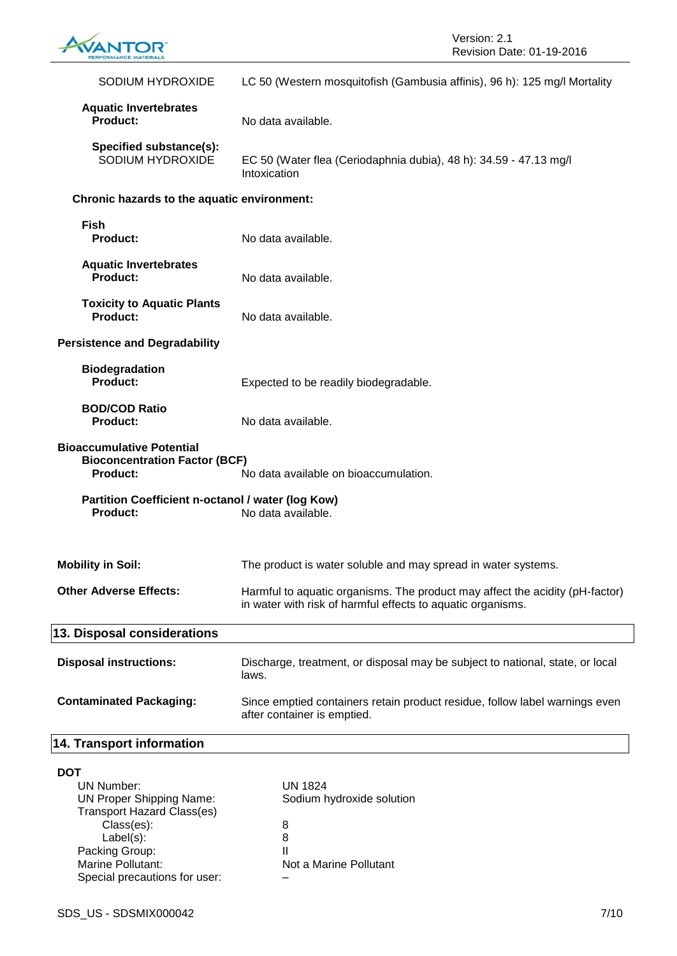

| SODIUM HYDROXIDE                                                                                                                                     | LC 50 (Western mosquitofish (Gambusia affinis), 96 h): 125 mg/l Mortality                                                                   |
|------------------------------------------------------------------------------------------------------------------------------------------------------|---------------------------------------------------------------------------------------------------------------------------------------------|
| <b>Aquatic Invertebrates</b><br>Product:                                                                                                             | No data available.                                                                                                                          |
| Specified substance(s):<br>SODIUM HYDROXIDE                                                                                                          | EC 50 (Water flea (Ceriodaphnia dubia), 48 h): 34.59 - 47.13 mg/l<br>Intoxication                                                           |
| Chronic hazards to the aquatic environment:                                                                                                          |                                                                                                                                             |
| <b>Fish</b><br><b>Product:</b>                                                                                                                       | No data available.                                                                                                                          |
| <b>Aquatic Invertebrates</b><br><b>Product:</b>                                                                                                      | No data available.                                                                                                                          |
| <b>Toxicity to Aquatic Plants</b><br>Product:                                                                                                        | No data available.                                                                                                                          |
| <b>Persistence and Degradability</b>                                                                                                                 |                                                                                                                                             |
| <b>Biodegradation</b><br>Product:                                                                                                                    | Expected to be readily biodegradable.                                                                                                       |
| <b>BOD/COD Ratio</b><br><b>Product:</b>                                                                                                              | No data available.                                                                                                                          |
| <b>Bioaccumulative Potential</b><br><b>Bioconcentration Factor (BCF)</b><br><b>Product:</b>                                                          | No data available on bioaccumulation.                                                                                                       |
| Partition Coefficient n-octanol / water (log Kow)<br><b>Product:</b>                                                                                 | No data available.                                                                                                                          |
| <b>Mobility in Soil:</b>                                                                                                                             | The product is water soluble and may spread in water systems.                                                                               |
| <b>Other Adverse Effects:</b>                                                                                                                        | Harmful to aquatic organisms. The product may affect the acidity (pH-factor)<br>in water with risk of harmful effects to aquatic organisms. |
| 13. Disposal considerations                                                                                                                          |                                                                                                                                             |
| <b>Disposal instructions:</b>                                                                                                                        | Discharge, treatment, or disposal may be subject to national, state, or local<br>laws.                                                      |
| <b>Contaminated Packaging:</b>                                                                                                                       | Since emptied containers retain product residue, follow label warnings even<br>after container is emptied.                                  |
| 14. Transport information                                                                                                                            |                                                                                                                                             |
| <b>DOT</b><br><b>UN Number:</b><br><b>UN Proper Shipping Name:</b><br><b>Transport Hazard Class(es)</b><br>Class(es):<br>Label(s):<br>Packing Group: | <b>UN 1824</b><br>Sodium hydroxide solution<br>8<br>8                                                                                       |
| Marine Pollutant:                                                                                                                                    | Not a Marine Pollutant                                                                                                                      |

Special precautions for user: –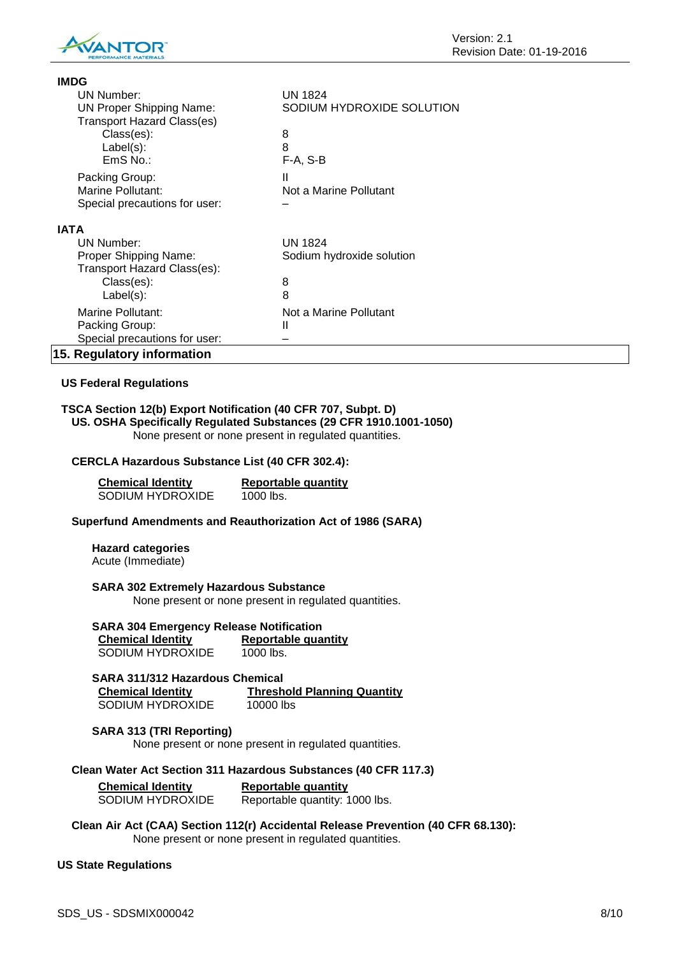

| <b>IMDG</b>                       |                           |
|-----------------------------------|---------------------------|
| UN Number:                        | <b>UN 1824</b>            |
| <b>UN Proper Shipping Name:</b>   | SODIUM HYDROXIDE SOLUTION |
| <b>Transport Hazard Class(es)</b> |                           |
| Class(es):                        | 8                         |
| $Label(s)$ :                      | 8                         |
| EmS No.:                          | $F-A, S-B$                |
| Packing Group:                    | Ш                         |
| Marine Pollutant:                 | Not a Marine Pollutant    |
| Special precautions for user:     |                           |
| <b>IATA</b>                       |                           |
| UN Number:                        | <b>UN 1824</b>            |
| Proper Shipping Name:             | Sodium hydroxide solution |
| Transport Hazard Class(es):       |                           |
| Class(es):                        | 8                         |
| $Label(s)$ :                      | 8                         |
| Marine Pollutant:                 | Not a Marine Pollutant    |
| Packing Group:                    | Ш                         |
| Special precautions for user:     |                           |
| 15. Regulatory information        |                           |

### **US Federal Regulations**

### **TSCA Section 12(b) Export Notification (40 CFR 707, Subpt. D) US. OSHA Specifically Regulated Substances (29 CFR 1910.1001-1050)**

None present or none present in regulated quantities.

### **CERCLA Hazardous Substance List (40 CFR 302.4):**

| <b>Chemical Identity</b> | Reportable quantity |
|--------------------------|---------------------|
| <b>SODIUM HYDROXIDE</b>  | 1000 lbs.           |

### **Superfund Amendments and Reauthorization Act of 1986 (SARA)**

**Hazard categories** Acute (Immediate)

### **SARA 302 Extremely Hazardous Substance**

None present or none present in regulated quantities.

# **SARA 304 Emergency Release Notification**

| <b>Chemical Identity</b> | Reportable quantity |
|--------------------------|---------------------|
| SODIUM HYDROXIDE         | 1000 lbs.           |

| SARA 311/312 Hazardous Chemical |                                    |
|---------------------------------|------------------------------------|
| <b>Chemical Identity</b>        | <b>Threshold Planning Quantity</b> |
| SODIUM HYDROXIDE                | 10000 lbs                          |

# **SARA 313 (TRI Reporting)**

None present or none present in regulated quantities.

#### **Clean Water Act Section 311 Hazardous Substances (40 CFR 117.3)**

| <b>Chemical Identity</b> | Reportable quantity            |
|--------------------------|--------------------------------|
| SODIUM HYDROXIDE         | Reportable quantity: 1000 lbs. |

**Clean Air Act (CAA) Section 112(r) Accidental Release Prevention (40 CFR 68.130):** None present or none present in regulated quantities.

#### **US State Regulations**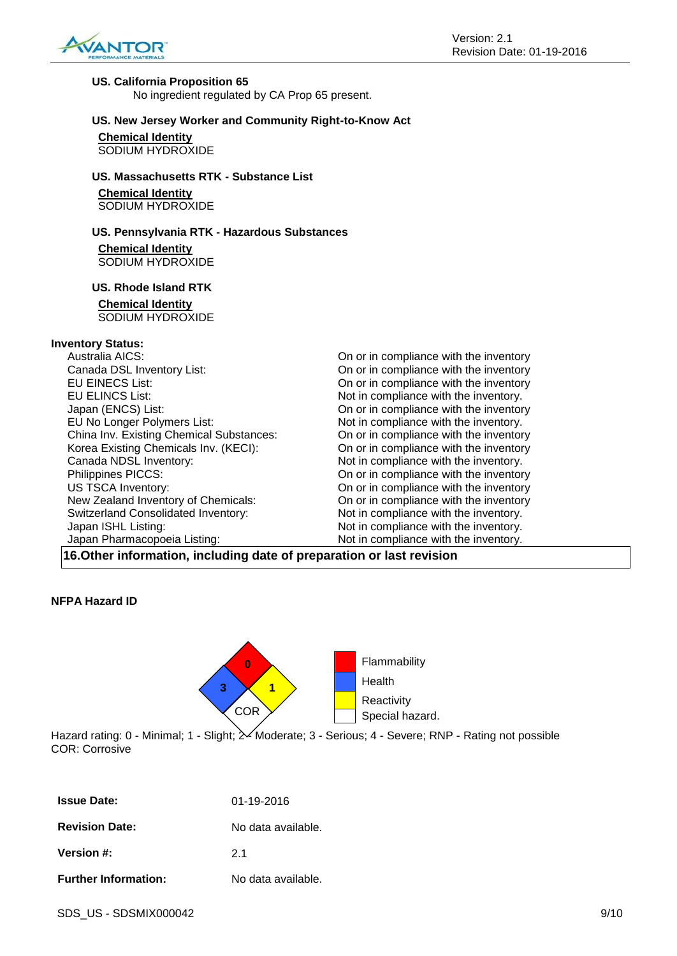

#### **US. California Proposition 65**

No ingredient regulated by CA Prop 65 present.

### **US. New Jersey Worker and Community Right-to-Know Act**

**Chemical Identity** SODIUM HYDROXIDE

### **US. Massachusetts RTK - Substance List**

**Chemical Identity** SODIUM HYDROXIDE

### **US. Pennsylvania RTK - Hazardous Substances**

**Chemical Identity** SODIUM HYDROXIDE

### **US. Rhode Island RTK**

### **Chemical Identity**

SODIUM HYDROXIDE

### **Inventory Status:**

| Australia AICS:                                                                                                       | On or in compliance with the inventory |
|-----------------------------------------------------------------------------------------------------------------------|----------------------------------------|
| Canada DSL Inventory List:                                                                                            | On or in compliance with the inventory |
| <b>EU EINECS List:</b>                                                                                                | On or in compliance with the inventory |
| <b>EU ELINCS List:</b>                                                                                                | Not in compliance with the inventory.  |
| Japan (ENCS) List:                                                                                                    | On or in compliance with the inventory |
| EU No Longer Polymers List:                                                                                           | Not in compliance with the inventory.  |
| China Inv. Existing Chemical Substances:                                                                              | On or in compliance with the inventory |
| Korea Existing Chemicals Inv. (KECI):                                                                                 | On or in compliance with the inventory |
| Canada NDSL Inventory:                                                                                                | Not in compliance with the inventory.  |
| Philippines PICCS:                                                                                                    | On or in compliance with the inventory |
| <b>US TSCA Inventory:</b>                                                                                             | On or in compliance with the inventory |
| New Zealand Inventory of Chemicals:                                                                                   | On or in compliance with the inventory |
| <b>Switzerland Consolidated Inventory:</b>                                                                            | Not in compliance with the inventory.  |
| Japan ISHL Listing:                                                                                                   | Not in compliance with the inventory.  |
| Japan Pharmacopoeia Listing:                                                                                          | Not in compliance with the inventory.  |
| $\overline{a}$ . The state of the state $\overline{a}$ , and $\overline{a}$ , and $\overline{a}$ , and $\overline{a}$ |                                        |

**16.Other information, including date of preparation or last revision**

### **NFPA Hazard ID**



Hazard rating: 0 - Minimal; 1 - Slight;  $\ge$  Moderate; 3 - Serious; 4 - Severe; RNP - Rating not possible COR: Corrosive

| <b>Issue Date:</b>          | 01-19-2016         |
|-----------------------------|--------------------|
| <b>Revision Date:</b>       | No data available. |
| Version #:                  | 2 <sub>1</sub>     |
| <b>Further Information:</b> | No data available. |